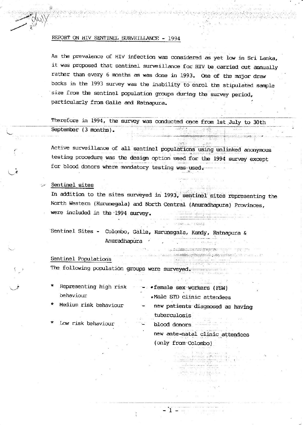### REPORT ON HIV SENTINEL SURVEILLANCE - 1994

As the prevalence of HIV infection was considered as yet low in Sri Lanka, it was proposed that sentinel surveillance for HIV be carried out annually rather than every 6 months as was done in 1993. One of the major draw backs in the 1993 survey was the inability to enrol the stipulated sample size from the sentinel population groups during the survey period, particularly from Galle and Ratnapura.

 $\label{eq:2} \mathcal{L}^2/(\gamma_0^2,\gamma_0^2)\leq \mathcal{L}^2/(\gamma_0^2,\gamma_0^2,\gamma_0^2)\leq \mathcal{L}^2/(\gamma_0^2,\gamma_0^2)\leq \mathcal{L}^2/(\gamma_0^2)$ 

Therefore in 1994, the survey was conducted once from 1st July to 30th September (3 months).

Active surveillance of all sentinel populations using unlinked anonymous testing procedure was the design option used for the 1994 survey except for blood donors where mandatory testing was used.

## Sentinel sites

In addition to the sites surveyed in 1993, sentinel sites representing the North Western (Kurunegala) and North Central (Anuradhapura) Provinces, were included in the 1994 survey.

chart Limit Card &

Sentinel Sites - Colombo, Galle, Kurunegala, Kandy, Ratnapura & Anuradhapura

# Sentinel Populations

The following population groups were surveyed.

- Representing high risk · female sex workers (FSW) behaviour .Male STD clinic attendees
- Medium risk behaviour
- Low risk behaviour
- new patients diagnosed as having tuberculosis

mercial a more

blood donors.

 $-1-$ 

new ante-natal clinic attendees (only from Colombo)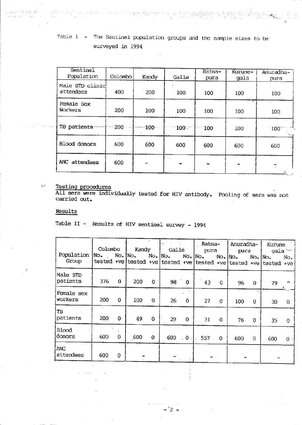# Table  $1 -$  The Sentinel population groups and the sample sizes to be surveyed in 1994

| Sentinel<br>Population       | Colombo | b.<br>Kandy | Galle   | Ratna-<br>pura | Kurune-<br>gala | Anuradha-<br>pura |  |
|------------------------------|---------|-------------|---------|----------------|-----------------|-------------------|--|
| Male STD clinic<br>attendees | 400     | 200         | 100     | 100            | 100             | 100               |  |
| Female Sex<br>Workers        | 200     | 100         | 100     | 100            | ٠.<br>100       | 100               |  |
| TB-patients-                 | 200     | $-100-$     | $100 -$ | 100            | 100             | 100               |  |
| Blood donors                 | 600     | 600         | 600     | 600            | 600             | 600               |  |
| ANC attendees                | 600     |             |         |                | $\blacksquare$  |                   |  |

**Testing procedures** 

All sera were individually tested for HIV antibody. Pooling of sera was not carried out.

## Results

2. 以四个人以来 lase se nos

**Section** 

 $\omega$ 

Table II - Results of HIV sentinel survey - 1994

| Population<br>Group     | Colombo             |             | Kandy       |              | Galle                                                      |              | Ratna-<br>pura |              | Anuradha-<br>pura |             | Kurune<br>gala        |          |
|-------------------------|---------------------|-------------|-------------|--------------|------------------------------------------------------------|--------------|----------------|--------------|-------------------|-------------|-----------------------|----------|
|                         | No.<br>$tested +ve$ |             | $No.$ $No.$ |              | $No.$ $No.$<br>tested +ve tested +ve tested +ve tested +ve |              | No.   No.      |              | $No.$ $No.$       |             | No. No.<br>tested +ve | No.      |
| Male STD<br>patients    | 376                 | $\mathbf 0$ | 200         | 0            | 98                                                         | $\mathbf{0}$ | $-43$          | 0            | 96                | $\mathbf 0$ | 79                    | n        |
| Female sex<br>workers   | 200                 | $\mathbf 0$ | 100         | $\Omega$     | 26                                                         | $\mathbf{0}$ | 27             | $\mathbf{0}$ | 100               | $\mathbf 0$ | 30                    | $\Omega$ |
| TB<br>patients          | 200                 | 0           | 49.         | $\mathbf{0}$ | 29                                                         | $\mathbf 0$  | 31             | 0            | 76                | $\theta$    | 35                    | $\Omega$ |
| Blood<br>donors         | 600                 | $\mathbf 0$ | 600         | $\mathbf{0}$ | 600                                                        | $0$ .<br>₩   | 557            | 0            | 600               | $\mathbf 0$ | 600                   | $0 -$    |
| <b>ANC</b><br>attendees | 600                 | 0           |             |              |                                                            |              |                |              |                   |             |                       |          |

2